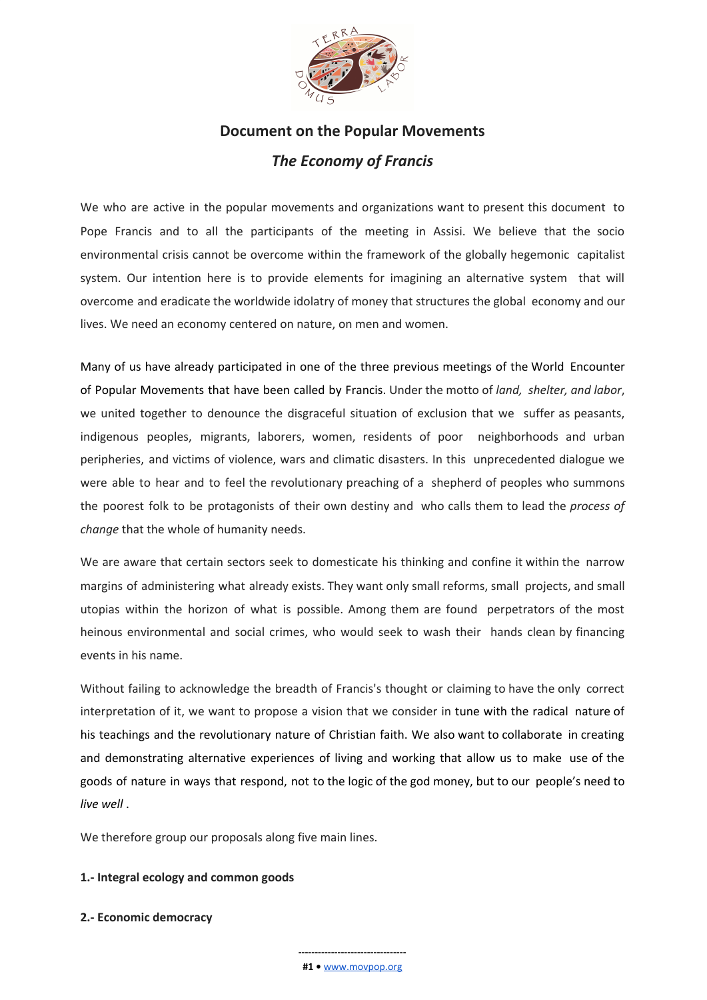

# **Document on the Popular Movements** *The Economy of Francis*

We who are active in the popular movements and organizations want to present this document to Pope Francis and to all the participants of the meeting in Assisi. We believe that the socio environmental crisis cannot be overcome within the framework of the globally hegemonic capitalist system. Our intention here is to provide elements for imagining an alternative system that will overcome and eradicate the worldwide idolatry of money that structures the global economy and our lives. We need an economy centered on nature, on men and women.

Many of us have already participated in one of the three previous meetings of the World Encounter of Popular Movements that have been called by Francis. Under the motto of *land, shelter, and labor*, we united together to denounce the disgraceful situation of exclusion that we suffer as peasants, indigenous peoples, migrants, laborers, women, residents of poor neighborhoods and urban peripheries, and victims of violence, wars and climatic disasters. In this unprecedented dialogue we were able to hear and to feel the revolutionary preaching of a shepherd of peoples who summons the poorest folk to be protagonists of their own destiny and who calls them to lead the *process of change* that the whole of humanity needs.

We are aware that certain sectors seek to domesticate his thinking and confine it within the narrow margins of administering what already exists. They want only small reforms, small projects, and small utopias within the horizon of what is possible. Among them are found perpetrators of the most heinous environmental and social crimes, who would seek to wash their hands clean by financing events in his name.

Without failing to acknowledge the breadth of Francis's thought or claiming to have the only correct interpretation of it, we want to propose a vision that we consider in tune with the radical nature of his teachings and the revolutionary nature of Christian faith. We also want to collaborate in creating and demonstrating alternative experiences of living and working that allow us to make use of the goods of nature in ways that respond, not to the logic of the god money, but to our people's need to *live well* .

We therefore group our proposals along five main lines.

#### **1.- Integral ecology and common goods**

**2.- Economic democracy**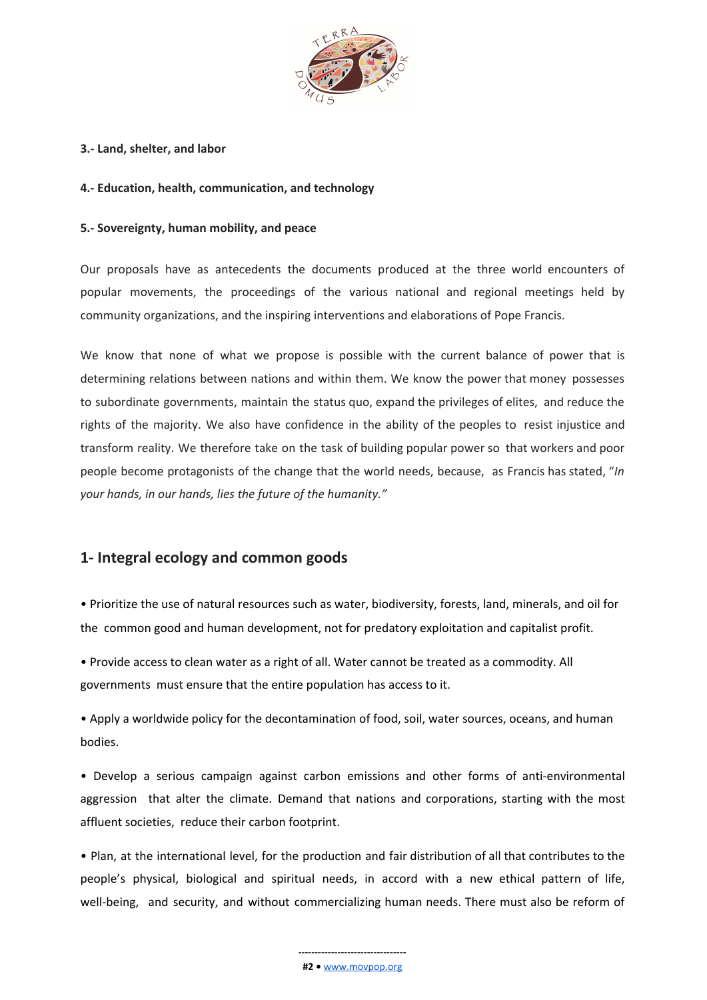

#### **3.- Land, shelter, and labor**

#### **4.- Education, health, communication, and technology**

#### **5.- Sovereignty, human mobility, and peace**

Our proposals have as antecedents the documents produced at the three world encounters of popular movements, the proceedings of the various national and regional meetings held by community organizations, and the inspiring interventions and elaborations of Pope Francis.

We know that none of what we propose is possible with the current balance of power that is determining relations between nations and within them. We know the power that money possesses to subordinate governments, maintain the status quo, expand the privileges of elites, and reduce the rights of the majority. We also have confidence in the ability of the peoples to resist injustice and transform reality. We therefore take on the task of building popular power so that workers and poor people become protagonists of the change that the world needs, because, as Francis has stated, "*In your hands, in our hands, lies the future of the humanity."*

# **1- Integral ecology and common goods**

• Prioritize the use of natural resources such as water, biodiversity, forests, land, minerals, and oil for the common good and human development, not for predatory exploitation and capitalist profit.

• Provide access to clean water as a right of all. Water cannot be treated as a commodity. All governments must ensure that the entire population has access to it.

• Apply a worldwide policy for the decontamination of food, soil, water sources, oceans, and human bodies.

• Develop a serious campaign against carbon emissions and other forms of anti-environmental aggression that alter the climate. Demand that nations and corporations, starting with the most affluent societies, reduce their carbon footprint.

• Plan, at the international level, for the production and fair distribution of all that contributes to the people's physical, biological and spiritual needs, in accord with a new ethical pattern of life, well-being, and security, and without commercializing human needs. There must also be reform of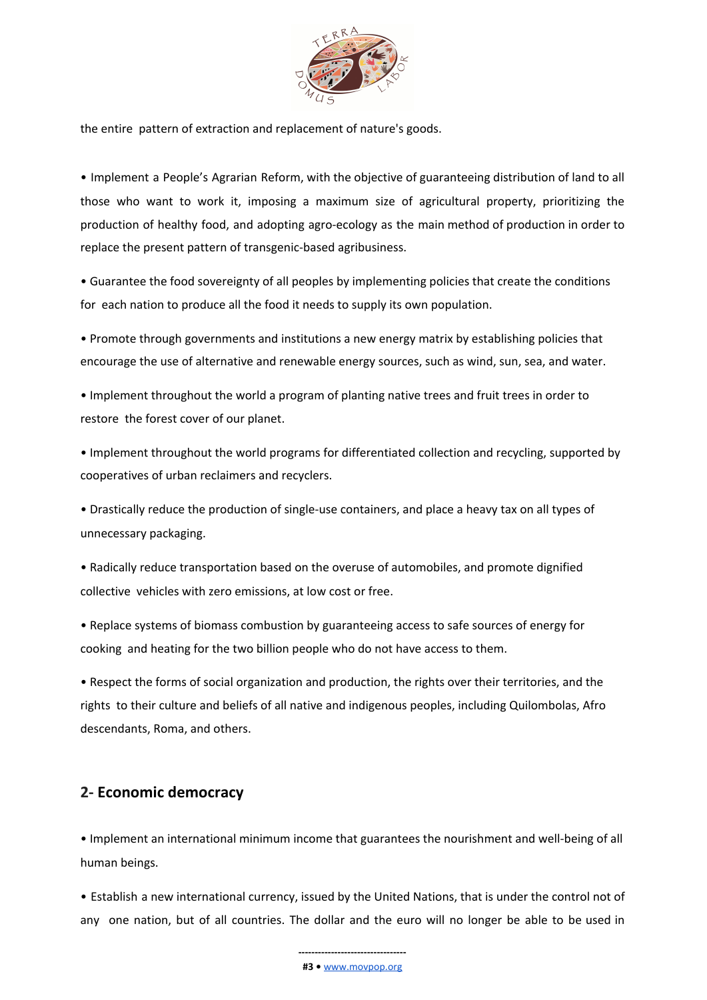

the entire pattern of extraction and replacement of nature's goods.

• Implement a People's Agrarian Reform, with the objective of guaranteeing distribution of land to all those who want to work it, imposing a maximum size of agricultural property, prioritizing the production of healthy food, and adopting agro-ecology as the main method of production in order to replace the present pattern of transgenic-based agribusiness.

• Guarantee the food sovereignty of all peoples by implementing policies that create the conditions for each nation to produce all the food it needs to supply its own population.

• Promote through governments and institutions a new energy matrix by establishing policies that encourage the use of alternative and renewable energy sources, such as wind, sun, sea, and water.

• Implement throughout the world a program of planting native trees and fruit trees in order to restore the forest cover of our planet.

• Implement throughout the world programs for differentiated collection and recycling, supported by cooperatives of urban reclaimers and recyclers.

• Drastically reduce the production of single-use containers, and place a heavy tax on all types of unnecessary packaging.

• Radically reduce transportation based on the overuse of automobiles, and promote dignified collective vehicles with zero emissions, at low cost or free.

• Replace systems of biomass combustion by guaranteeing access to safe sources of energy for cooking and heating for the two billion people who do not have access to them.

• Respect the forms of social organization and production, the rights over their territories, and the rights to their culture and beliefs of all native and indigenous peoples, including Quilombolas, Afro descendants, Roma, and others.

### **2- Economic democracy**

• Implement an international minimum income that guarantees the nourishment and well-being of all human beings.

• Establish a new international currency, issued by the United Nations, that is under the control not of any one nation, but of all countries. The dollar and the euro will no longer be able to be used in

> **--------------------------------- #3 •** [www.movpop.org](http://www.movpop.org/)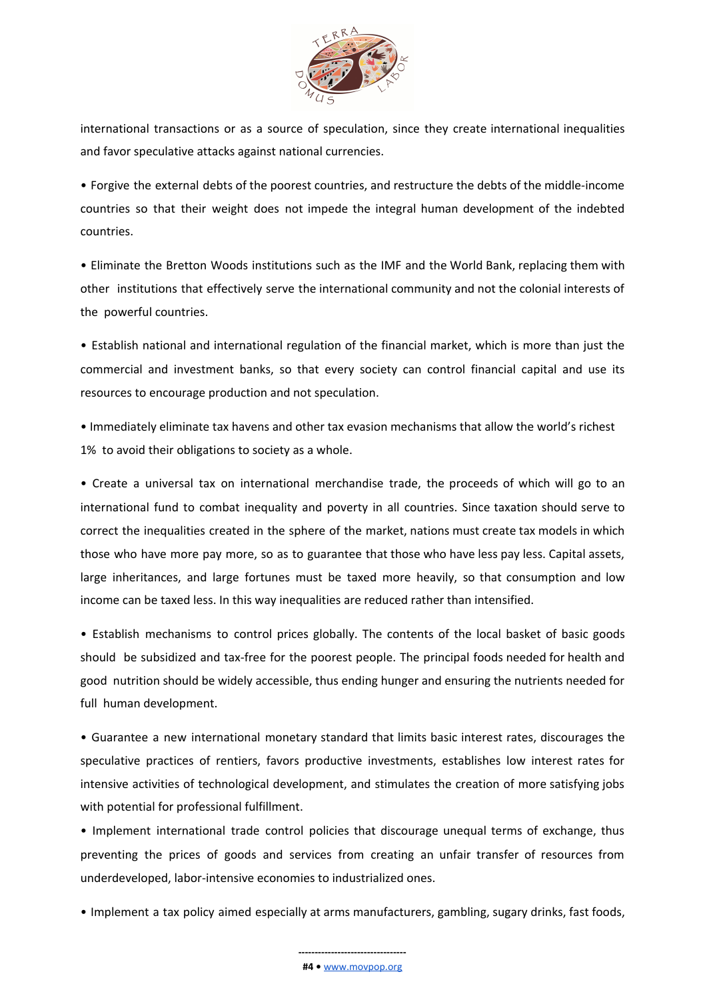

international transactions or as a source of speculation, since they create international inequalities and favor speculative attacks against national currencies.

• Forgive the external debts of the poorest countries, and restructure the debts of the middle-income countries so that their weight does not impede the integral human development of the indebted countries.

• Eliminate the Bretton Woods institutions such as the IMF and the World Bank, replacing them with other institutions that effectively serve the international community and not the colonial interests of the powerful countries.

• Establish national and international regulation of the financial market, which is more than just the commercial and investment banks, so that every society can control financial capital and use its resources to encourage production and not speculation.

• Immediately eliminate tax havens and other tax evasion mechanisms that allow the world's richest 1% to avoid their obligations to society as a whole.

• Create a universal tax on international merchandise trade, the proceeds of which will go to an international fund to combat inequality and poverty in all countries. Since taxation should serve to correct the inequalities created in the sphere of the market, nations must create tax models in which those who have more pay more, so as to guarantee that those who have less pay less. Capital assets, large inheritances, and large fortunes must be taxed more heavily, so that consumption and low income can be taxed less. In this way inequalities are reduced rather than intensified.

• Establish mechanisms to control prices globally. The contents of the local basket of basic goods should be subsidized and tax-free for the poorest people. The principal foods needed for health and good nutrition should be widely accessible, thus ending hunger and ensuring the nutrients needed for full human development.

• Guarantee a new international monetary standard that limits basic interest rates, discourages the speculative practices of rentiers, favors productive investments, establishes low interest rates for intensive activities of technological development, and stimulates the creation of more satisfying jobs with potential for professional fulfillment.

• Implement international trade control policies that discourage unequal terms of exchange, thus preventing the prices of goods and services from creating an unfair transfer of resources from underdeveloped, labor-intensive economies to industrialized ones.

• Implement a tax policy aimed especially at arms manufacturers, gambling, sugary drinks, fast foods,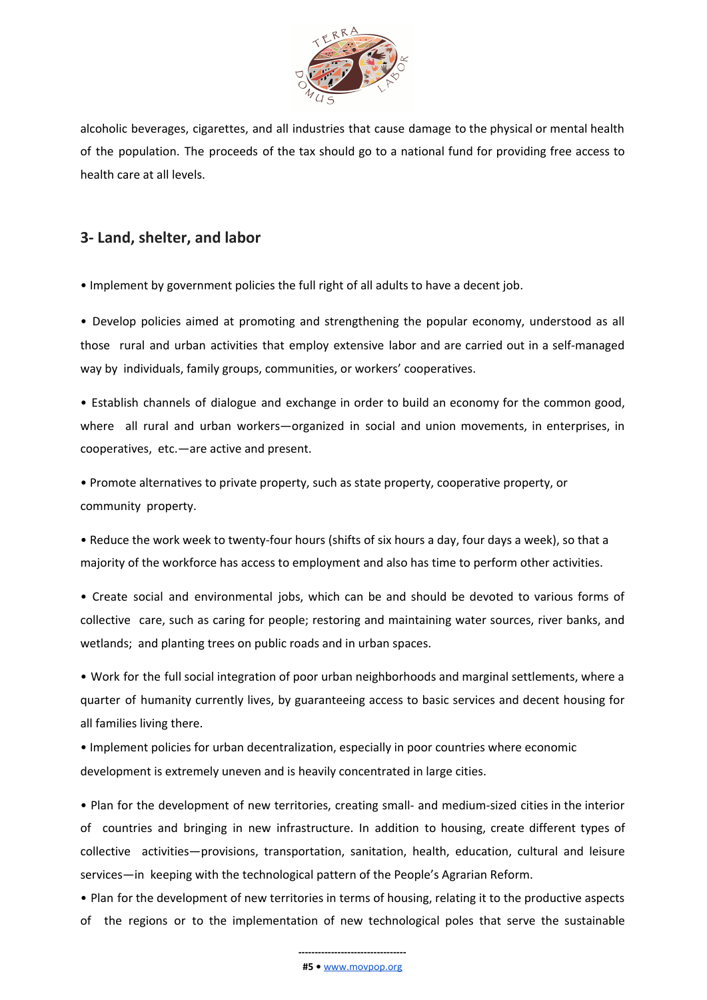

alcoholic beverages, cigarettes, and all industries that cause damage to the physical or mental health of the population. The proceeds of the tax should go to a national fund for providing free access to health care at all levels.

# **3- Land, shelter, and labor**

• Implement by government policies the full right of all adults to have a decent job.

• Develop policies aimed at promoting and strengthening the popular economy, understood as all those rural and urban activities that employ extensive labor and are carried out in a self-managed way by individuals, family groups, communities, or workers' cooperatives.

• Establish channels of dialogue and exchange in order to build an economy for the common good, where all rural and urban workers—organized in social and union movements, in enterprises, in cooperatives, etc.—are active and present.

• Promote alternatives to private property, such as state property, cooperative property, or community property.

• Reduce the work week to twenty-four hours (shifts of six hours a day, four days a week), so that a majority of the workforce has access to employment and also has time to perform other activities.

• Create social and environmental jobs, which can be and should be devoted to various forms of collective care, such as caring for people; restoring and maintaining water sources, river banks, and wetlands; and planting trees on public roads and in urban spaces.

• Work for the full social integration of poor urban neighborhoods and marginal settlements, where a quarter of humanity currently lives, by guaranteeing access to basic services and decent housing for all families living there.

• Implement policies for urban decentralization, especially in poor countries where economic development is extremely uneven and is heavily concentrated in large cities.

• Plan for the development of new territories, creating small- and medium-sized cities in the interior of countries and bringing in new infrastructure. In addition to housing, create different types of collective activities—provisions, transportation, sanitation, health, education, cultural and leisure services—in keeping with the technological pattern of the People's Agrarian Reform.

• Plan for the development of new territories in terms of housing, relating it to the productive aspects of the regions or to the implementation of new technological poles that serve the sustainable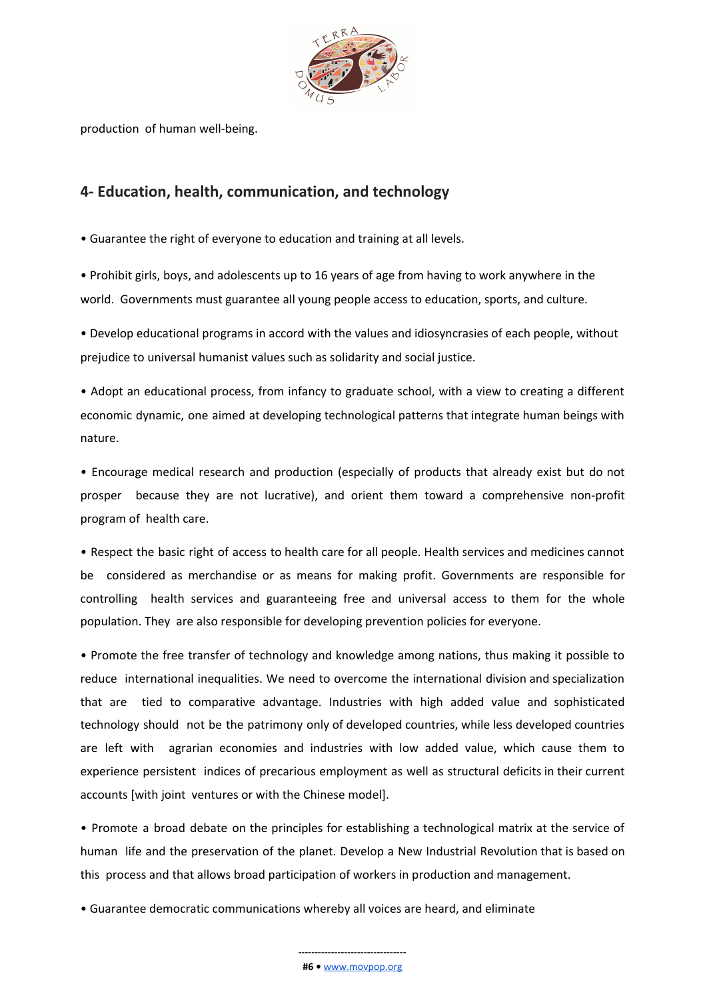

production of human well-being.

## **4- Education, health, communication, and technology**

• Guarantee the right of everyone to education and training at all levels.

• Prohibit girls, boys, and adolescents up to 16 years of age from having to work anywhere in the world. Governments must guarantee all young people access to education, sports, and culture.

• Develop educational programs in accord with the values and idiosyncrasies of each people, without prejudice to universal humanist values such as solidarity and social justice.

• Adopt an educational process, from infancy to graduate school, with a view to creating a different economic dynamic, one aimed at developing technological patterns that integrate human beings with nature.

• Encourage medical research and production (especially of products that already exist but do not prosper because they are not lucrative), and orient them toward a comprehensive non-profit program of health care.

• Respect the basic right of access to health care for all people. Health services and medicines cannot be considered as merchandise or as means for making profit. Governments are responsible for controlling health services and guaranteeing free and universal access to them for the whole population. They are also responsible for developing prevention policies for everyone.

• Promote the free transfer of technology and knowledge among nations, thus making it possible to reduce international inequalities. We need to overcome the international division and specialization that are tied to comparative advantage. Industries with high added value and sophisticated technology should not be the patrimony only of developed countries, while less developed countries are left with agrarian economies and industries with low added value, which cause them to experience persistent indices of precarious employment as well as structural deficits in their current accounts [with joint ventures or with the Chinese model].

• Promote a broad debate on the principles for establishing a technological matrix at the service of human life and the preservation of the planet. Develop a New Industrial Revolution that is based on this process and that allows broad participation of workers in production and management.

• Guarantee democratic communications whereby all voices are heard, and eliminate

#### **--------------------------------- #6 •** [www.movpop.org](http://www.movpop.org/)